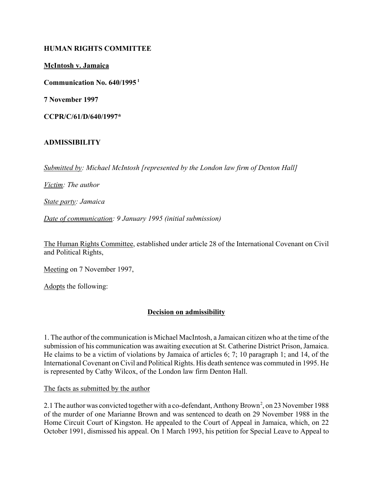### **HUMAN RIGHTS COMMITTEE**

**McIntosh v. Jamaica**

**Communication No. 640/1995 1**

**7 November 1997**

**CCPR/C/61/D/640/1997\***

# **ADMISSIBILITY**

*Submitted by: Michael McIntosh [represented by the London law firm of Denton Hall]* 

*Victim: The author* 

*State party: Jamaica* 

*Date of communication: 9 January 1995 (initial submission)* 

The Human Rights Committee, established under article 28 of the International Covenant on Civil and Political Rights,

Meeting on 7 November 1997,

Adopts the following:

#### **Decision on admissibility**

1. The author of the communication is Michael MacIntosh, a Jamaican citizen who at the time of the submission of his communication was awaiting execution at St. Catherine District Prison, Jamaica. He claims to be a victim of violations by Jamaica of articles 6; 7; 10 paragraph 1; and 14, of the International Covenant on Civil and Political Rights. His death sentence was commuted in 1995. He is represented by Cathy Wilcox, of the London law firm Denton Hall.

The facts as submitted by the author

2.1 The author was convicted together with a co-defendant, Anthony Brown 2, on 23 November 1988 of the murder of one Marianne Brown and was sentenced to death on 29 November 1988 in the Home Circuit Court of Kingston. He appealed to the Court of Appeal in Jamaica, which, on 22 October 1991, dismissed his appeal. On 1 March 1993, his petition for Special Leave to Appeal to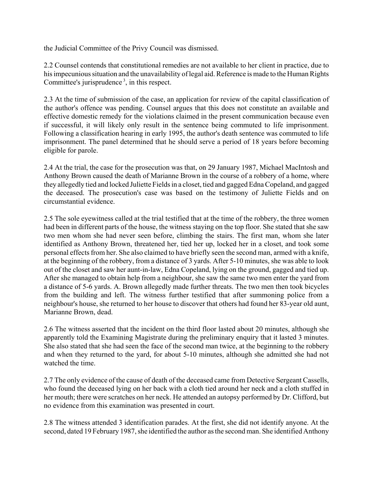the Judicial Committee of the Privy Council was dismissed.

2.2 Counsel contends that constitutional remedies are not available to her client in practice, due to his impecunious situation and the unavailability of legal aid. Reference is made to the Human Rights Committee's jurisprudence<sup>3</sup>, in this respect.

2.3 At the time of submission of the case, an application for review of the capital classification of the author's offence was pending. Counsel argues that this does not constitute an available and effective domestic remedy for the violations claimed in the present communication because even if successful, it will likely only result in the sentence being commuted to life imprisonment. Following a classification hearing in early 1995, the author's death sentence was commuted to life imprisonment. The panel determined that he should serve a period of 18 years before becoming eligible for parole.

2.4 At the trial, the case for the prosecution was that, on 29 January 1987, Michael MacIntosh and Anthony Brown caused the death of Marianne Brown in the course of a robbery of a home, where they allegedly tied and locked Juliette Fields in a closet, tied and gagged Edna Copeland, and gagged the deceased. The prosecution's case was based on the testimony of Juliette Fields and on circumstantial evidence.

2.5 The sole eyewitness called at the trial testified that at the time of the robbery, the three women had been in different parts of the house, the witness staying on the top floor. She stated that she saw two men whom she had never seen before, climbing the stairs. The first man, whom she later identified as Anthony Brown, threatened her, tied her up, locked her in a closet, and took some personal effects from her. She also claimed to have briefly seen the second man, armed with a knife, at the beginning of the robbery, from a distance of 3 yards. After 5-10 minutes, she was able to look out of the closet and saw her aunt-in-law, Edna Copeland, lying on the ground, gagged and tied up. After she managed to obtain help from a neighbour, she saw the same two men enter the yard from a distance of 5-6 yards. A. Brown allegedly made further threats. The two men then took bicycles from the building and left. The witness further testified that after summoning police from a neighbour's house, she returned to her house to discover that others had found her 83-year old aunt, Marianne Brown, dead.

2.6 The witness asserted that the incident on the third floor lasted about 20 minutes, although she apparently told the Examining Magistrate during the preliminary enquiry that it lasted 3 minutes. She also stated that she had seen the face of the second man twice, at the beginning to the robbery and when they returned to the yard, for about 5-10 minutes, although she admitted she had not watched the time.

2.7 The only evidence of the cause of death of the deceased came from Detective Sergeant Cassells, who found the deceased lying on her back with a cloth tied around her neck and a cloth stuffed in her mouth; there were scratches on her neck. He attended an autopsy performed by Dr. Clifford, but no evidence from this examination was presented in court.

2.8 The witness attended 3 identification parades. At the first, she did not identify anyone. At the second, dated 19 February 1987, she identified the author as the second man. She identified Anthony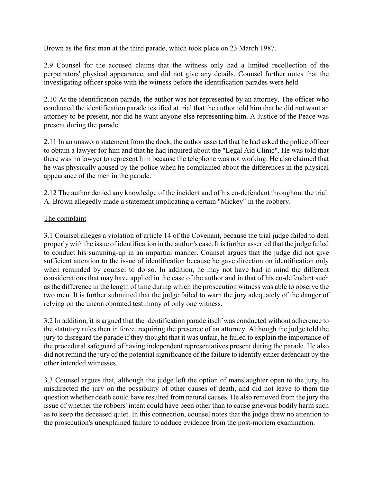Brown as the first man at the third parade, which took place on 23 March 1987.

2.9 Counsel for the accused claims that the witness only had a limited recollection of the perpetrators' physical appearance, and did not give any details. Counsel further notes that the investigating officer spoke with the witness before the identification parades were held.

2.10 At the identification parade, the author was not represented by an attorney. The officer who conducted the identification parade testified at trial that the author told him that he did not want an attorney to be present, nor did he want anyone else representing him. A Justice of the Peace was present during the parade.

2.11 In an unsworn statement from the dock, the author asserted that he had asked the police officer to obtain a lawyer for him and that he had inquired about the "Legal Aid Clinic". He was told that there was no lawyer to represent him because the telephone was not working. He also claimed that he was physically abused by the police when he complained about the differences in the physical appearance of the men in the parade.

2.12 The author denied any knowledge of the incident and of his co-defendant throughout the trial. A. Brown allegedly made a statement implicating a certain "Mickey" in the robbery.

### The complaint

3.1 Counsel alleges a violation of article 14 of the Covenant, because the trial judge failed to deal properly with the issue of identification in the author's case. It is further asserted that the judge failed to conduct his summing-up in an impartial manner. Counsel argues that the judge did not give sufficient attention to the issue of identification because he gave direction on identification only when reminded by counsel to do so. In addition, he may not have had in mind the different considerations that may have applied in the case of the author and in that of his co-defendant such as the difference in the length of time during which the prosecution witness was able to observe the two men. It is further submitted that the judge failed to warn the jury adequately of the danger of relying on the uncorroborated testimony of only one witness.

3.2 In addition, it is argued that the identification parade itself was conducted without adherence to the statutory rules then in force, requiring the presence of an attorney. Although the judge told the jury to disregard the parade if they thought that it was unfair, he failed to explain the importance of the procedural safeguard of having independent representatives present during the parade. He also did not remind the jury of the potential significance of the failure to identify either defendant by the other intended witnesses.

3.3 Counsel argues that, although the judge left the option of manslaughter open to the jury, he misdirected the jury on the possibility of other causes of death, and did not leave to them the question whether death could have resulted from natural causes. He also removed from the jury the issue of whether the robbers' intent could have been other than to cause grievous bodily harm such as to keep the deceased quiet. In this connection, counsel notes that the judge drew no attention to the prosecution's unexplained failure to adduce evidence from the post-mortem examination.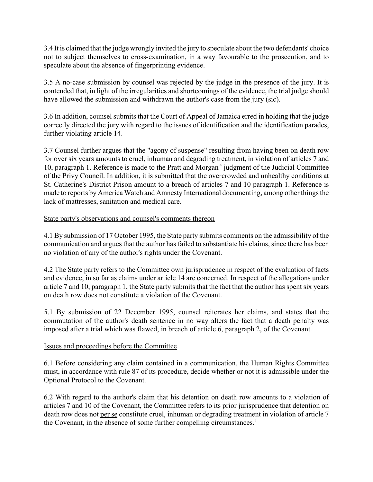3.4 It is claimed that the judge wrongly invited the jury to speculate about the two defendants' choice not to subject themselves to cross-examination, in a way favourable to the prosecution, and to speculate about the absence of fingerprinting evidence.

3.5 A no-case submission by counsel was rejected by the judge in the presence of the jury. It is contended that, in light of the irregularities and shortcomings of the evidence, the trial judge should have allowed the submission and withdrawn the author's case from the jury (sic).

3.6 In addition, counsel submits that the Court of Appeal of Jamaica erred in holding that the judge correctly directed the jury with regard to the issues of identification and the identification parades, further violating article 14.

3.7 Counsel further argues that the "agony of suspense" resulting from having been on death row for over six years amounts to cruel, inhuman and degrading treatment, in violation of articles 7 and 10, paragraph 1. Reference is made to the Pratt and Morgan<sup>4</sup> judgment of the Judicial Committee of the Privy Council. In addition, it is submitted that the overcrowded and unhealthy conditions at St. Catherine's District Prison amount to a breach of articles 7 and 10 paragraph 1. Reference is made to reports by America Watch and Amnesty International documenting, among other things the lack of mattresses, sanitation and medical care.

# State party's observations and counsel's comments thereon

4.1 By submission of 17 October 1995, the State party submits comments on the admissibility of the communication and argues that the author has failed to substantiate his claims, since there has been no violation of any of the author's rights under the Covenant.

4.2 The State party refers to the Committee own jurisprudence in respect of the evaluation of facts and evidence, in so far as claims under article 14 are concerned. In respect of the allegations under article 7 and 10, paragraph 1, the State party submits that the fact that the author has spent six years on death row does not constitute a violation of the Covenant.

5.1 By submission of 22 December 1995, counsel reiterates her claims, and states that the commutation of the author's death sentence in no way alters the fact that a death penalty was imposed after a trial which was flawed, in breach of article 6, paragraph 2, of the Covenant.

# Issues and proceedings before the Committee

6.1 Before considering any claim contained in a communication, the Human Rights Committee must, in accordance with rule 87 of its procedure, decide whether or not it is admissible under the Optional Protocol to the Covenant.

6.2 With regard to the author's claim that his detention on death row amounts to a violation of articles 7 and 10 of the Covenant, the Committee refers to its prior jurisprudence that detention on death row does not per se constitute cruel, inhuman or degrading treatment in violation of article 7 the Covenant, in the absence of some further compelling circumstances.<sup>5</sup>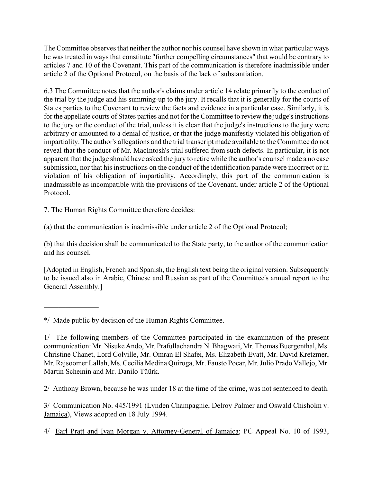The Committee observes that neither the author nor his counsel have shown in what particular ways he was treated in ways that constitute "further compelling circumstances" that would be contrary to articles 7 and 10 of the Covenant. This part of the communication is therefore inadmissible under article 2 of the Optional Protocol, on the basis of the lack of substantiation.

6.3 The Committee notes that the author's claims under article 14 relate primarily to the conduct of the trial by the judge and his summing-up to the jury. It recalls that it is generally for the courts of States parties to the Covenant to review the facts and evidence in a particular case. Similarly, it is for the appellate courts of States parties and not for the Committee to review the judge's instructions to the jury or the conduct of the trial, unless it is clear that the judge's instructions to the jury were arbitrary or amounted to a denial of justice, or that the judge manifestly violated his obligation of impartiality. The author's allegations and the trial transcript made available to the Committee do not reveal that the conduct of Mr. MacIntosh's trial suffered from such defects. In particular, it is not apparent that the judge should have asked the jury to retire while the author's counsel made a no case submission, nor that his instructions on the conduct of the identification parade were incorrect or in violation of his obligation of impartiality. Accordingly, this part of the communication is inadmissible as incompatible with the provisions of the Covenant, under article 2 of the Optional Protocol.

7. The Human Rights Committee therefore decides:

(a) that the communication is inadmissible under article 2 of the Optional Protocol;

(b) that this decision shall be communicated to the State party, to the author of the communication and his counsel.

[Adopted in English, French and Spanish, the English text being the original version. Subsequently to be issued also in Arabic, Chinese and Russian as part of the Committee's annual report to the General Assembly.]

 $\frac{1}{2}$ 

2/ Anthony Brown, because he was under 18 at the time of the crime, was not sentenced to death.

3/ Communication No. 445/1991 (Lynden Champagnie, Delroy Palmer and Oswald Chisholm v. Jamaica), Views adopted on 18 July 1994.

4/ Earl Pratt and Ivan Morgan v. Attorney-General of Jamaica; PC Appeal No. 10 of 1993,

<sup>\*/</sup> Made public by decision of the Human Rights Committee.

<sup>1/</sup> The following members of the Committee participated in the examination of the present communication: Mr. Nisuke Ando, Mr. Prafullachandra N. Bhagwati, Mr. Thomas Buergenthal, Ms. Christine Chanet, Lord Colville, Mr. Omran El Shafei, Ms. Elizabeth Evatt, Mr. David Kretzmer, Mr. Rajsoomer Lallah, Ms. Cecilia Medina Quiroga, Mr. Fausto Pocar, Mr. Julio Prado Vallejo, Mr. Martin Scheinin and Mr. Danilo Tüürk.